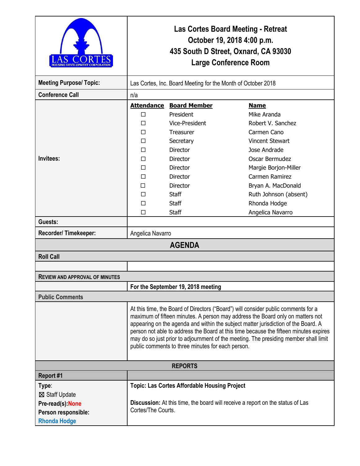|                                       | Las Cortes Board Meeting - Retreat<br>October 19, 2018 4:00 p.m.<br>435 South D Street, Oxnard, CA 93030<br><b>Large Conference Room</b>                                                                                                                                                                                                                                                                                                                                                         |                                                     |                        |  |
|---------------------------------------|--------------------------------------------------------------------------------------------------------------------------------------------------------------------------------------------------------------------------------------------------------------------------------------------------------------------------------------------------------------------------------------------------------------------------------------------------------------------------------------------------|-----------------------------------------------------|------------------------|--|
| <b>Meeting Purpose/Topic:</b>         | Las Cortes, Inc. Board Meeting for the Month of October 2018                                                                                                                                                                                                                                                                                                                                                                                                                                     |                                                     |                        |  |
| <b>Conference Call</b>                | n/a                                                                                                                                                                                                                                                                                                                                                                                                                                                                                              |                                                     |                        |  |
|                                       | <b>Attendance</b>                                                                                                                                                                                                                                                                                                                                                                                                                                                                                | <b>Board Member</b>                                 | <b>Name</b>            |  |
|                                       | □                                                                                                                                                                                                                                                                                                                                                                                                                                                                                                | President                                           | Mike Aranda            |  |
|                                       | П                                                                                                                                                                                                                                                                                                                                                                                                                                                                                                | Vice-President                                      | Robert V. Sanchez      |  |
|                                       | П                                                                                                                                                                                                                                                                                                                                                                                                                                                                                                | Treasurer                                           | Carmen Cano            |  |
|                                       | □                                                                                                                                                                                                                                                                                                                                                                                                                                                                                                | Secretary                                           | <b>Vincent Stewart</b> |  |
|                                       | п                                                                                                                                                                                                                                                                                                                                                                                                                                                                                                | Director                                            | Jose Andrade           |  |
| Invitees:                             | □                                                                                                                                                                                                                                                                                                                                                                                                                                                                                                | Director                                            | Oscar Bermudez         |  |
|                                       | П                                                                                                                                                                                                                                                                                                                                                                                                                                                                                                | <b>Director</b>                                     | Margie Borjon-Miller   |  |
|                                       | □                                                                                                                                                                                                                                                                                                                                                                                                                                                                                                | Director                                            | Carmen Ramirez         |  |
|                                       | п                                                                                                                                                                                                                                                                                                                                                                                                                                                                                                | <b>Director</b>                                     | Bryan A. MacDonald     |  |
|                                       | П                                                                                                                                                                                                                                                                                                                                                                                                                                                                                                | Staff                                               | Ruth Johnson (absent)  |  |
|                                       | П                                                                                                                                                                                                                                                                                                                                                                                                                                                                                                | Staff                                               | Rhonda Hodge           |  |
|                                       | П                                                                                                                                                                                                                                                                                                                                                                                                                                                                                                | <b>Staff</b>                                        | Angelica Navarro       |  |
| Guests:                               |                                                                                                                                                                                                                                                                                                                                                                                                                                                                                                  |                                                     |                        |  |
| Recorder/Timekeeper:                  | Angelica Navarro                                                                                                                                                                                                                                                                                                                                                                                                                                                                                 |                                                     |                        |  |
| <b>AGENDA</b>                         |                                                                                                                                                                                                                                                                                                                                                                                                                                                                                                  |                                                     |                        |  |
| <b>Roll Call</b>                      |                                                                                                                                                                                                                                                                                                                                                                                                                                                                                                  |                                                     |                        |  |
|                                       |                                                                                                                                                                                                                                                                                                                                                                                                                                                                                                  |                                                     |                        |  |
| <b>REVIEW AND APPROVAL OF MINUTES</b> |                                                                                                                                                                                                                                                                                                                                                                                                                                                                                                  |                                                     |                        |  |
|                                       | For the September 19, 2018 meeting                                                                                                                                                                                                                                                                                                                                                                                                                                                               |                                                     |                        |  |
| <b>Public Comments</b>                |                                                                                                                                                                                                                                                                                                                                                                                                                                                                                                  |                                                     |                        |  |
|                                       | At this time, the Board of Directors ("Board") will consider public comments for a<br>maximum of fifteen minutes. A person may address the Board only on matters not<br>appearing on the agenda and within the subject matter jurisdiction of the Board. A<br>person not able to address the Board at this time because the fifteen minutes expires<br>may do so just prior to adjournment of the meeting. The presiding member shall limit<br>public comments to three minutes for each person. |                                                     |                        |  |
| <b>REPORTS</b>                        |                                                                                                                                                                                                                                                                                                                                                                                                                                                                                                  |                                                     |                        |  |
| Report #1                             |                                                                                                                                                                                                                                                                                                                                                                                                                                                                                                  |                                                     |                        |  |
| Type:                                 |                                                                                                                                                                                                                                                                                                                                                                                                                                                                                                  | <b>Topic: Las Cortes Affordable Housing Project</b> |                        |  |
| ⊠ Staff Update                        |                                                                                                                                                                                                                                                                                                                                                                                                                                                                                                  |                                                     |                        |  |
| Pre-read(s): None                     | Discussion: At this time, the board will receive a report on the status of Las                                                                                                                                                                                                                                                                                                                                                                                                                   |                                                     |                        |  |
| Person responsible:                   | Cortes/The Courts.                                                                                                                                                                                                                                                                                                                                                                                                                                                                               |                                                     |                        |  |
| <b>Rhonda Hodge</b>                   |                                                                                                                                                                                                                                                                                                                                                                                                                                                                                                  |                                                     |                        |  |